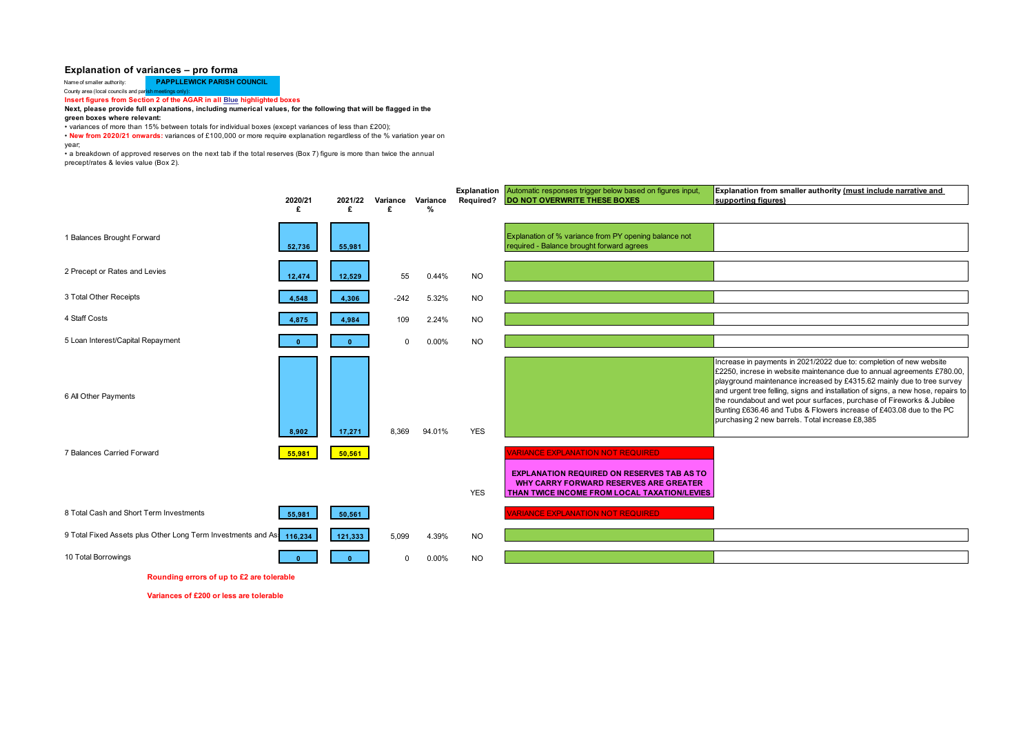## **Explanation of variances – pro forma**

Name of smaller authority: **PAPPLLEWICK PARISH COUNCIL** 

County area (local councils and paris **Insert figures from Section 2 of the AGAR in all Blue highlighted boxes** 

## **Next, please provide full explanations, including numerical values, for the following that will be flagged in the**

**green boxes where relevant:**

• variances of more than 15% between totals for individual boxes (except variances of less than £200);

• **New from 2020/21 onwards:** variances of £100,000 or more require explanation regardless of the % variation year on year;

• a breakdown of approved reserves on the next tab if the total reserves (Box 7) figure is more than twice the annual precept/rates & levies value (Box 2).

|                                                                      | 2020/21 | 2021/22 | Variance Variance |        | Explanation<br>Required? | Automatic responses trigger below based on figures input,<br><b>DO NOT OVERWRITE THESE BOXES</b>                                                                                               | Explanation from smaller authority (must include narrative and<br>supporting figures)                                                                                                                                                                                                                                                                                                                                                                                                                            |
|----------------------------------------------------------------------|---------|---------|-------------------|--------|--------------------------|------------------------------------------------------------------------------------------------------------------------------------------------------------------------------------------------|------------------------------------------------------------------------------------------------------------------------------------------------------------------------------------------------------------------------------------------------------------------------------------------------------------------------------------------------------------------------------------------------------------------------------------------------------------------------------------------------------------------|
|                                                                      | £       | £       | £                 | %      |                          |                                                                                                                                                                                                |                                                                                                                                                                                                                                                                                                                                                                                                                                                                                                                  |
| 1 Balances Brought Forward                                           | 52,736  | 55,981  |                   |        |                          | Explanation of % variance from PY opening balance not<br>required - Balance brought forward agrees                                                                                             |                                                                                                                                                                                                                                                                                                                                                                                                                                                                                                                  |
| 2 Precept or Rates and Levies                                        | 12,474  | 12,529  | 55                | 0.44%  | <b>NO</b>                |                                                                                                                                                                                                |                                                                                                                                                                                                                                                                                                                                                                                                                                                                                                                  |
| 3 Total Other Receipts                                               | 4,548   | 4,306   | $-242$            | 5.32%  | <b>NO</b>                |                                                                                                                                                                                                |                                                                                                                                                                                                                                                                                                                                                                                                                                                                                                                  |
| 4 Staff Costs                                                        | 4,875   | 4,984   | 109               | 2.24%  | <b>NO</b>                |                                                                                                                                                                                                |                                                                                                                                                                                                                                                                                                                                                                                                                                                                                                                  |
| 5 Loan Interest/Capital Repayment                                    |         |         | $\Omega$          | 0.00%  | <b>NO</b>                |                                                                                                                                                                                                |                                                                                                                                                                                                                                                                                                                                                                                                                                                                                                                  |
| 6 All Other Payments                                                 | 8.902   | 17,271  | 8.369             | 94.01% | <b>YES</b>               |                                                                                                                                                                                                | Increase in payments in 2021/2022 due to: completion of new website<br>£2250, increse in website maintenance due to annual agreements £780.00,<br>playground maintenance increased by £4315.62 mainly due to tree survey<br>and urgent tree felling, signs and installation of signs, a new hose, repairs to<br>the roundabout and wet pour surfaces, purchase of Fireworks & Jubilee<br>Bunting £636.46 and Tubs & Flowers increase of £403.08 due to the PC<br>purchasing 2 new barrels. Total increase £8,385 |
| 7 Balances Carried Forward                                           | 55,981  | 50,561  |                   |        | <b>YES</b>               | <b>VARIANCE EXPLANATION NOT REQUIRED</b><br><b>EXPLANATION REQUIRED ON RESERVES TAB AS TO</b><br><b>WHY CARRY FORWARD RESERVES ARE GREATER</b><br>THAN TWICE INCOME FROM LOCAL TAXATION/LEVIES |                                                                                                                                                                                                                                                                                                                                                                                                                                                                                                                  |
| 8 Total Cash and Short Term Investments                              | 55,981  | 50,561  |                   |        |                          | <b>VARIANCE EXPLANATION NOT REQUIRED</b>                                                                                                                                                       |                                                                                                                                                                                                                                                                                                                                                                                                                                                                                                                  |
| 9 Total Fixed Assets plus Other Long Term Investments and As 116,234 |         | 121,333 | 5.099             | 4.39%  | <b>NO</b>                |                                                                                                                                                                                                |                                                                                                                                                                                                                                                                                                                                                                                                                                                                                                                  |
| 10 Total Borrowings                                                  |         |         | $\Omega$          | 0.00%  | <b>NO</b>                |                                                                                                                                                                                                |                                                                                                                                                                                                                                                                                                                                                                                                                                                                                                                  |

**Rounding errors of up to £2 are tolerable**

**Variances of £200 or less are tolerable**